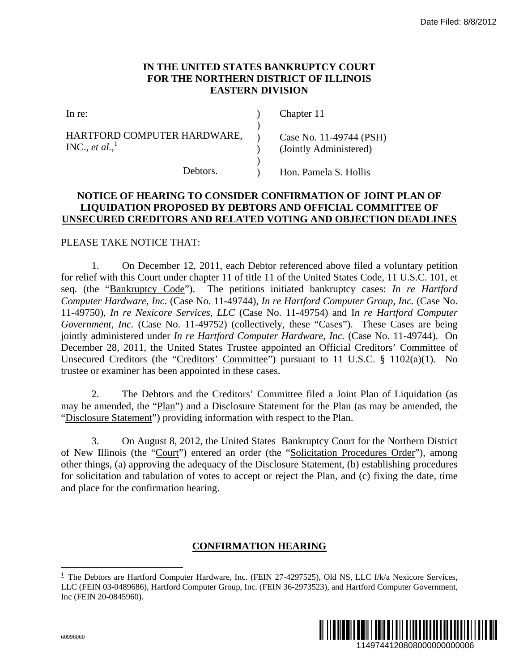# **IN THE UNITED STATES BANKRUPTCY COURT FOR THE NORTHERN DISTRICT OF ILLINOIS EASTERN DIVISION**

| In re:                                                     | Chapter 11                                        |
|------------------------------------------------------------|---------------------------------------------------|
| HARTFORD COMPUTER HARDWARE,<br>INC., et al., $\frac{1}{2}$ | Case No. 11-49744 (PSH)<br>(Jointly Administered) |
| Debtors.                                                   | Hon. Pamela S. Hollis                             |

# **NOTICE OF HEARING TO CONSIDER CONFIRMATION OF JOINT PLAN OF LIQUIDATION PROPOSED BY DEBTORS AND OFFICIAL COMMITTEE OF UNSECURED CREDITORS AND RELATED VOTING AND OBJECTION DEADLINES**

#### PLEASE TAKE NOTICE THAT:

1. On December 12, 2011, each Debtor referenced above filed a voluntary petition for relief with this Court under chapter 11 of title 11 of the United States Code, 11 U.S.C. 101, et seq. (the "Bankruptcy Code"). The petitions initiated bankruptcy cases: *In re Hartford Computer Hardware, Inc.* (Case No. 11-49744), *In re Hartford Computer Group, Inc.* (Case No. 11-49750), *In re Nexicore Services, LLC* (Case No. 11-49754) and I*n re Hartford Computer Government, Inc.* (Case No. 11-49752) (collectively, these "Cases"). These Cases are being jointly administered under *In re Hartford Computer Hardware, Inc.* (Case No. 11-49744). On December 28, 2011, the United States Trustee appointed an Official Creditors' Committee of Unsecured Creditors (the "Creditors' Committee") pursuant to 11 U.S.C. § 1102(a)(1). No trustee or examiner has been appointed in these cases. Date Filed: 8/8/2012<br>
URT<br>
11951<br>
11951<br>
11951<br>
11962<br>
11962<br>
11962<br>
1197441 DAT<br>
1297441 DAT<br>
1297441 DAT<br>
1297441 DAT<br>
1297441, anong text of the Northern District<br>
12980 Pate 2010<br>
12980 Pate Case No. 11-49744). On<br>
12

2. The Debtors and the Creditors' Committee filed a Joint Plan of Liquidation (as may be amended, the "Plan") and a Disclosure Statement for the Plan (as may be amended, the "Disclosure Statement") providing information with respect to the Plan.

3. On August 8, 2012, the United States Bankruptcy Court for the Northern District of New Illinois (the "Court") entered an order (the "Solicitation Procedures Order"), among other things, (a) approving the adequacy of the Disclosure Statement, (b) establishing procedures for solicitation and tabulation of votes to accept or reject the Plan, and (c) fixing the date, time and place for the confirmation hearing.

## **CONFIRMATION HEARING**

 $1$  The Debtors are Hartford Computer Hardware, Inc. (FEIN 27-4297525), Old NS, LLC f/k/a Nexicore Services, LLC (FEIN 03-0489686), Hartford Computer Group, Inc. (FEIN 36-2973523), and Hartford Computer Government, Inc (FEIN 20-0845960).



 $\overline{a}$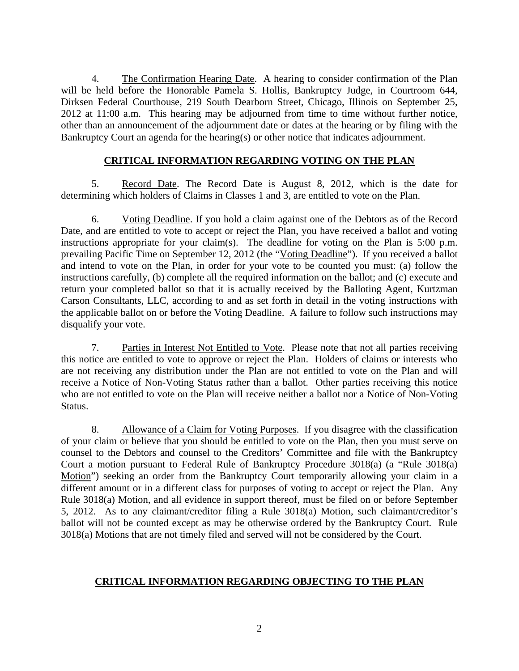4. The Confirmation Hearing Date. A hearing to consider confirmation of the Plan will be held before the Honorable Pamela S. Hollis, Bankruptcy Judge, in Courtroom 644, Dirksen Federal Courthouse, 219 South Dearborn Street, Chicago, Illinois on September 25, 2012 at 11:00 a.m. This hearing may be adjourned from time to time without further notice, other than an announcement of the adjournment date or dates at the hearing or by filing with the Bankruptcy Court an agenda for the hearing(s) or other notice that indicates adjournment.

# **CRITICAL INFORMATION REGARDING VOTING ON THE PLAN**

5. Record Date. The Record Date is August 8, 2012, which is the date for determining which holders of Claims in Classes 1 and 3, are entitled to vote on the Plan.

6. Voting Deadline. If you hold a claim against one of the Debtors as of the Record Date, and are entitled to vote to accept or reject the Plan, you have received a ballot and voting instructions appropriate for your claim(s). The deadline for voting on the Plan is 5:00 p.m. prevailing Pacific Time on September 12, 2012 (the "Voting Deadline"). If you received a ballot and intend to vote on the Plan, in order for your vote to be counted you must: (a) follow the instructions carefully, (b) complete all the required information on the ballot; and (c) execute and return your completed ballot so that it is actually received by the Balloting Agent, Kurtzman Carson Consultants, LLC, according to and as set forth in detail in the voting instructions with the applicable ballot on or before the Voting Deadline. A failure to follow such instructions may disqualify your vote.

7. Parties in Interest Not Entitled to Vote. Please note that not all parties receiving this notice are entitled to vote to approve or reject the Plan. Holders of claims or interests who are not receiving any distribution under the Plan are not entitled to vote on the Plan and will receive a Notice of Non-Voting Status rather than a ballot. Other parties receiving this notice who are not entitled to vote on the Plan will receive neither a ballot nor a Notice of Non-Voting Status.

8. Allowance of a Claim for Voting Purposes. If you disagree with the classification of your claim or believe that you should be entitled to vote on the Plan, then you must serve on counsel to the Debtors and counsel to the Creditors' Committee and file with the Bankruptcy Court a motion pursuant to Federal Rule of Bankruptcy Procedure 3018(a) (a "Rule 3018(a) Motion") seeking an order from the Bankruptcy Court temporarily allowing your claim in a different amount or in a different class for purposes of voting to accept or reject the Plan. Any Rule 3018(a) Motion, and all evidence in support thereof, must be filed on or before September 5, 2012. As to any claimant/creditor filing a Rule 3018(a) Motion, such claimant/creditor's ballot will not be counted except as may be otherwise ordered by the Bankruptcy Court. Rule 3018(a) Motions that are not timely filed and served will not be considered by the Court.

## **CRITICAL INFORMATION REGARDING OBJECTING TO THE PLAN**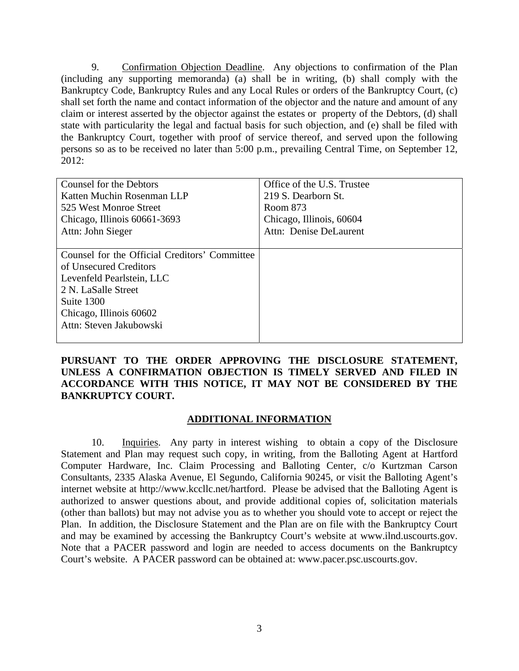9. Confirmation Objection Deadline. Any objections to confirmation of the Plan (including any supporting memoranda) (a) shall be in writing, (b) shall comply with the Bankruptcy Code, Bankruptcy Rules and any Local Rules or orders of the Bankruptcy Court, (c) shall set forth the name and contact information of the objector and the nature and amount of any claim or interest asserted by the objector against the estates or property of the Debtors, (d) shall state with particularity the legal and factual basis for such objection, and (e) shall be filed with the Bankruptcy Court, together with proof of service thereof, and served upon the following persons so as to be received no later than 5:00 p.m., prevailing Central Time, on September 12, 2012:

| Counsel for the Debtors                       | Office of the U.S. Trustee |
|-----------------------------------------------|----------------------------|
| Katten Muchin Rosenman LLP                    | 219 S. Dearborn St.        |
| 525 West Monroe Street                        | Room 873                   |
| Chicago, Illinois 60661-3693                  | Chicago, Illinois, 60604   |
| Attn: John Sieger                             | Attn: Denise DeLaurent     |
|                                               |                            |
| Counsel for the Official Creditors' Committee |                            |
| of Unsecured Creditors                        |                            |
| Levenfeld Pearlstein, LLC                     |                            |
| 2 N. LaSalle Street                           |                            |
| Suite 1300                                    |                            |
| Chicago, Illinois 60602                       |                            |
| Attn: Steven Jakubowski                       |                            |
|                                               |                            |

**PURSUANT TO THE ORDER APPROVING THE DISCLOSURE STATEMENT, UNLESS A CONFIRMATION OBJECTION IS TIMELY SERVED AND FILED IN ACCORDANCE WITH THIS NOTICE, IT MAY NOT BE CONSIDERED BY THE BANKRUPTCY COURT.** 

## **ADDITIONAL INFORMATION**

10. Inquiries. Any party in interest wishing to obtain a copy of the Disclosure Statement and Plan may request such copy, in writing, from the Balloting Agent at Hartford Computer Hardware, Inc. Claim Processing and Balloting Center, c/o Kurtzman Carson Consultants, 2335 Alaska Avenue, El Segundo, California 90245, or visit the Balloting Agent's internet website at http://www.kccllc.net/hartford. Please be advised that the Balloting Agent is authorized to answer questions about, and provide additional copies of, solicitation materials (other than ballots) but may not advise you as to whether you should vote to accept or reject the Plan. In addition, the Disclosure Statement and the Plan are on file with the Bankruptcy Court and may be examined by accessing the Bankruptcy Court's website at www.ilnd.uscourts.gov. Note that a PACER password and login are needed to access documents on the Bankruptcy Court's website. A PACER password can be obtained at: www.pacer.psc.uscourts.gov.